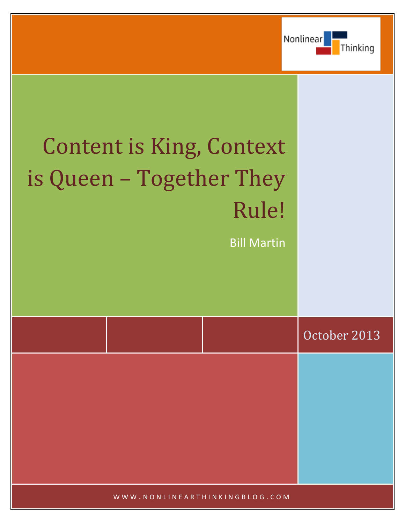

# Content is King, Context is Queen – Together They Rule!

Bill Martin

|  | October 2013 |
|--|--------------|
|  |              |
|  |              |
|  |              |
|  |              |

WWW.NONLINEARTHINKINGBLOG.COM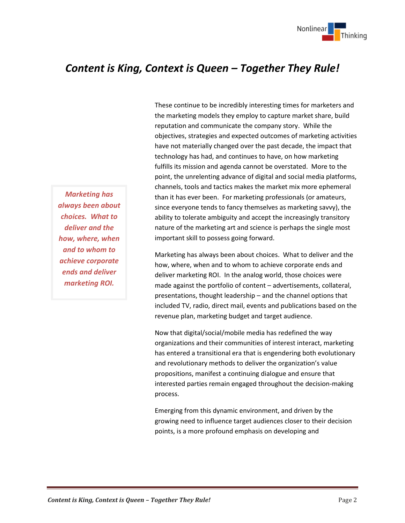

# *Content is King, Context is Queen – Together They Rule!*

*Marketing has always been about choices. What to deliver and the how, where, when and to whom to achieve corporate ends and deliver marketing ROI.*

These continue to be incredibly interesting times for marketers and the marketing models they employ to capture market share, build reputation and communicate the company story. While the objectives, strategies and expected outcomes of marketing activities have not materially changed over the past decade, the impact that technology has had, and continues to have, on how marketing fulfills its mission and agenda cannot be overstated. More to the point, the unrelenting advance of digital and social media platforms, channels, tools and tactics makes the market mix more ephemeral than it has ever been. For marketing professionals (or amateurs, since everyone tends to fancy themselves as marketing savvy), the ability to tolerate ambiguity and accept the increasingly transitory nature of the marketing art and science is perhaps the single most important skill to possess going forward.

Marketing has always been about choices. What to deliver and the how, where, when and to whom to achieve corporate ends and deliver marketing ROI. In the analog world, those choices were made against the portfolio of content – advertisements, collateral, presentations, thought leadership – and the channel options that included TV, radio, direct mail, events and publications based on the revenue plan, marketing budget and target audience.

Now that digital/social/mobile media has redefined the way organizations and their communities of interest interact, marketing has entered a transitional era that is engendering both evolutionary and revolutionary methods to deliver the organization's value propositions, manifest a continuing dialogue and ensure that interested parties remain engaged throughout the decision-making process.

Emerging from this dynamic environment, and driven by the growing need to influence target audiences closer to their decision points, is a more profound emphasis on developing and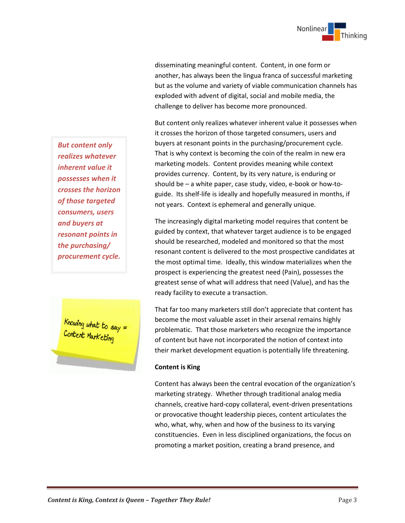

disseminating meaningful content. Content, in one form or another, has always been the lingua franca of successful marketing but as the volume and variety of viable communication channels has exploded with advent of digital, social and mobile media, the challenge to deliver has become more pronounced.

But content only realizes whatever inherent value it possesses when it crosses the horizon of those targeted consumers, users and buyers at resonant points in the purchasing/procurement cycle. That is why context is becoming the coin of the realm in new era marketing models. Content provides meaning while context provides currency. Content, by its very nature, is enduring or should be – a white paper, case study, video, e-book or how-toguide. Its shelf-life is ideally and hopefully measured in months, if not years. Context is ephemeral and generally unique.

The increasingly digital marketing model requires that content be guided by context, that whatever target audience is to be engaged should be researched, modeled and monitored so that the most resonant content is delivered to the most prospective candidates at the most optimal time. Ideally, this window materializes when the prospect is experiencing the greatest need (Pain), possesses the greatest sense of what will address that need (Value), and has the ready facility to execute a transaction.

That far too many marketers still don't appreciate that content has become the most valuable asset in their arsenal remains highly problematic. That those marketers who recognize the importance of content but have not incorporated the notion of context into their market development equation is potentially life threatening.

## **Content is King**

Content has always been the central evocation of the organization's marketing strategy. Whether through traditional analog media channels, creative hard-copy collateral, event-driven presentations or provocative thought leadership pieces, content articulates the who, what, why, when and how of the business to its varying constituencies. Even in less disciplined organizations, the focus on promoting a market position, creating a brand presence, and

*But content only realizes whatever inherent value it possesses when it crosses the horizon of those targeted consumers, users and buyers at resonant points in the purchasing/ procurement cycle.* 

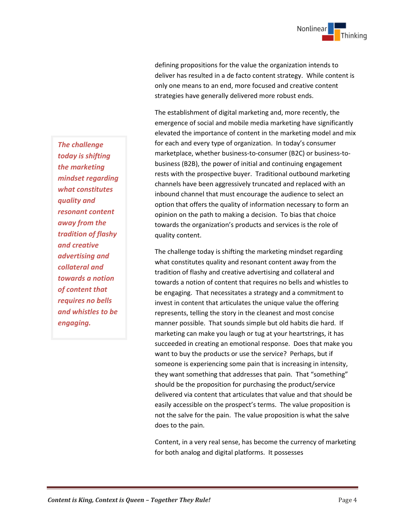

defining propositions for the value the organization intends to deliver has resulted in a de facto content strategy. While content is only one means to an end, more focused and creative content strategies have generally delivered more robust ends.

The establishment of digital marketing and, more recently, the emergence of social and mobile media marketing have significantly elevated the importance of content in the marketing model and mix for each and every type of organization. In today's consumer marketplace, whether business-to-consumer (B2C) or business-tobusiness (B2B), the power of initial and continuing engagement rests with the prospective buyer. Traditional outbound marketing channels have been aggressively truncated and replaced with an inbound channel that must encourage the audience to select an option that offers the quality of information necessary to form an opinion on the path to making a decision. To bias that choice towards the organization's products and services is the role of quality content.

The challenge today is shifting the marketing mindset regarding what constitutes quality and resonant content away from the tradition of flashy and creative advertising and collateral and towards a notion of content that requires no bells and whistles to be engaging. That necessitates a strategy and a commitment to invest in content that articulates the unique value the offering represents, telling the story in the cleanest and most concise manner possible. That sounds simple but old habits die hard. If marketing can make you laugh or tug at your heartstrings, it has succeeded in creating an emotional response. Does that make you want to buy the products or use the service? Perhaps, but if someone is experiencing some pain that is increasing in intensity, they want something that addresses that pain. That "something" should be the proposition for purchasing the product/service delivered via content that articulates that value and that should be easily accessible on the prospect's terms. The value proposition is not the salve for the pain. The value proposition is what the salve does to the pain.

Content, in a very real sense, has become the currency of marketing for both analog and digital platforms. It possesses

*The challenge today is shifting the marketing mindset regarding what constitutes quality and resonant content away from the tradition of flashy and creative advertising and collateral and towards a notion of content that requires no bells and whistles to be engaging.*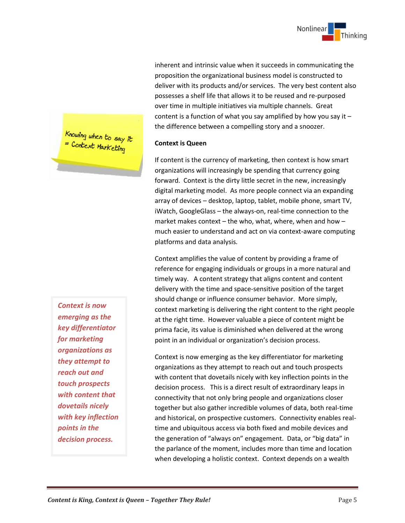

inherent and intrinsic value when it succeeds in communicating the proposition the organizational business model is constructed to deliver with its products and/or services. The very best content also possesses a shelf life that allows it to be reused and re-purposed over time in multiple initiatives via multiple channels. Great content is a function of what you say amplified by how you say it – the difference between a compelling story and a snoozer.

### **Context is Queen**

If content is the currency of marketing, then context is how smart organizations will increasingly be spending that currency going forward. Context is the dirty little secret in the new, increasingly digital marketing model. As more people connect via an expanding array of devices – desktop, laptop, tablet, mobile phone, smart TV, iWatch, GoogleGlass – the always-on, real-time connection to the market makes context – the who, what, where, when and how – much easier to understand and act on via context-aware computing platforms and data analysis.

Context amplifies the value of content by providing a frame of reference for engaging individuals or groups in a more natural and timely way. A content strategy that aligns content and content delivery with the time and space-sensitive position of the target should change or influence consumer behavior. More simply, context marketing is delivering the right content to the right people at the right time. However valuable a piece of content might be prima facie, its value is diminished when delivered at the wrong point in an individual or organization's decision process.

Context is now emerging as the key differentiator for marketing organizations as they attempt to reach out and touch prospects with content that dovetails nicely with key inflection points in the decision process. This is a direct result of extraordinary leaps in connectivity that not only bring people and organizations closer together but also gather incredible volumes of data, both real-time and historical, on prospective customers. Connectivity enables realtime and ubiquitous access via both fixed and mobile devices and the generation of "always on" engagement. Data, or "big data" in the parlance of the moment, includes more than time and location when developing a holistic context. Context depends on a wealth

Knowing when to say it<br>= Context Marketing

*Context is now emerging as the key differentiator for marketing organizations as they attempt to reach out and touch prospects with content that dovetails nicely with key inflection points in the decision process.*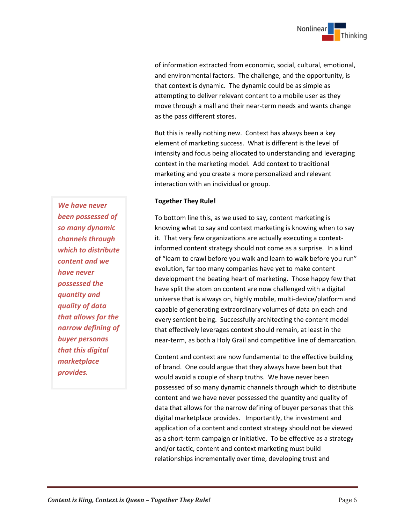

of information extracted from economic, social, cultural, emotional, and environmental factors. The challenge, and the opportunity, is that context is dynamic. The dynamic could be as simple as attempting to deliver relevant content to a mobile user as they move through a mall and their near-term needs and wants change as the pass different stores.

But this is really nothing new. Context has always been a key element of marketing success. What is different is the level of intensity and focus being allocated to understanding and leveraging context in the marketing model. Add context to traditional marketing and you create a more personalized and relevant interaction with an individual or group.

### **Together They Rule!**

To bottom line this, as we used to say, content marketing is knowing what to say and context marketing is knowing when to say it. That very few organizations are actually executing a contextinformed content strategy should not come as a surprise. In a kind of "learn to crawl before you walk and learn to walk before you run" evolution, far too many companies have yet to make content development the beating heart of marketing. Those happy few that have split the atom on content are now challenged with a digital universe that is always on, highly mobile, multi-device/platform and capable of generating extraordinary volumes of data on each and every sentient being. Successfully architecting the content model that effectively leverages context should remain, at least in the near-term, as both a Holy Grail and competitive line of demarcation.

Content and context are now fundamental to the effective building of brand. One could argue that they always have been but that would avoid a couple of sharp truths. We have never been possessed of so many dynamic channels through which to distribute content and we have never possessed the quantity and quality of data that allows for the narrow defining of buyer personas that this digital marketplace provides. Importantly, the investment and application of a content and context strategy should not be viewed as a short-term campaign or initiative. To be effective as a strategy and/or tactic, content and context marketing must build relationships incrementally over time, developing trust and

*We have never been possessed of so many dynamic channels through which to distribute content and we have never possessed the quantity and quality of data that allows for the narrow defining of buyer personas that this digital marketplace provides.*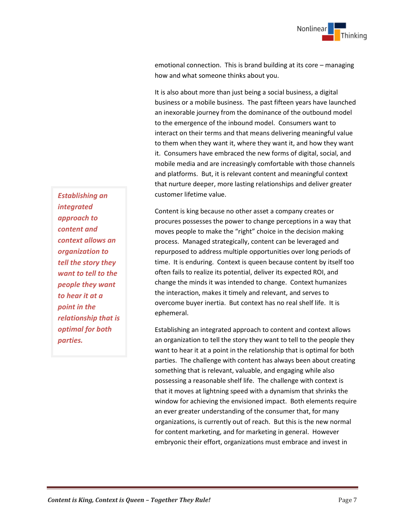emotional connection. This is brand building at its core – managing how and what someone thinks about you.

It is also about more than just being a social business, a digital business or a mobile business. The past fifteen years have launched an inexorable journey from the dominance of the outbound model to the emergence of the inbound model. Consumers want to interact on their terms and that means delivering meaningful value to them when they want it, where they want it, and how they want it. Consumers have embraced the new forms of digital, social, and mobile media and are increasingly comfortable with those channels and platforms. But, it is relevant content and meaningful context that nurture deeper, more lasting relationships and deliver greater customer lifetime value.

Content is king because no other asset a company creates or procures possesses the power to change perceptions in a way that moves people to make the "right" choice in the decision making process. Managed strategically, content can be leveraged and repurposed to address multiple opportunities over long periods of time. It is enduring. Context is queen because content by itself too often fails to realize its potential, deliver its expected ROI, and change the minds it was intended to change. Context humanizes the interaction, makes it timely and relevant, and serves to overcome buyer inertia. But context has no real shelf life. It is ephemeral.

Establishing an integrated approach to content and context allows an organization to tell the story they want to tell to the people they want to hear it at a point in the relationship that is optimal for both parties. The challenge with content has always been about creating something that is relevant, valuable, and engaging while also possessing a reasonable shelf life. The challenge with context is that it moves at lightning speed with a dynamism that shrinks the window for achieving the envisioned impact. Both elements require an ever greater understanding of the consumer that, for many organizations, is currently out of reach. But this is the new normal for content marketing, and for marketing in general. However embryonic their effort, organizations must embrace and invest in

*Establishing an integrated approach to content and context allows an organization to tell the story they want to tell to the people they want to hear it at a point in the relationship that is optimal for both parties.*